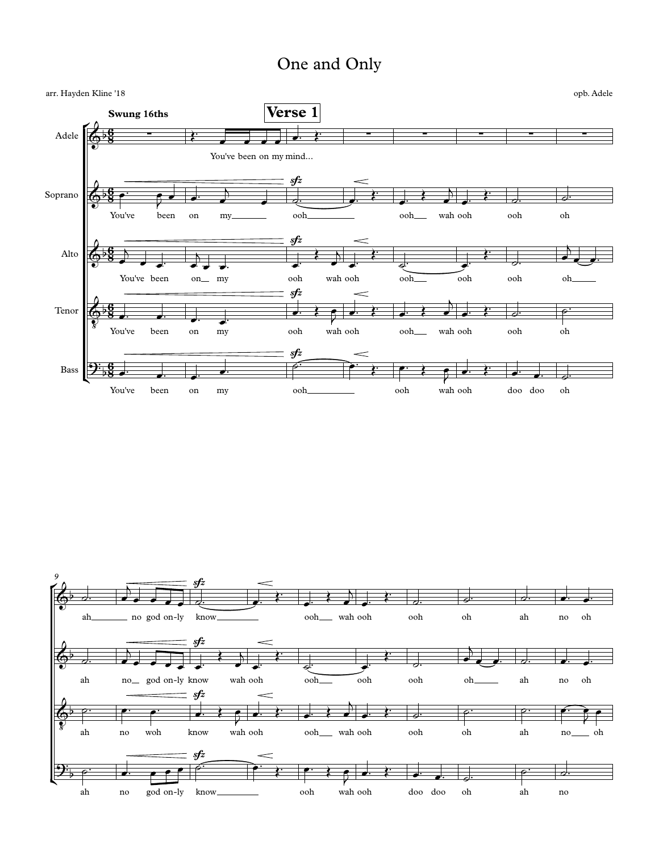## One and Only



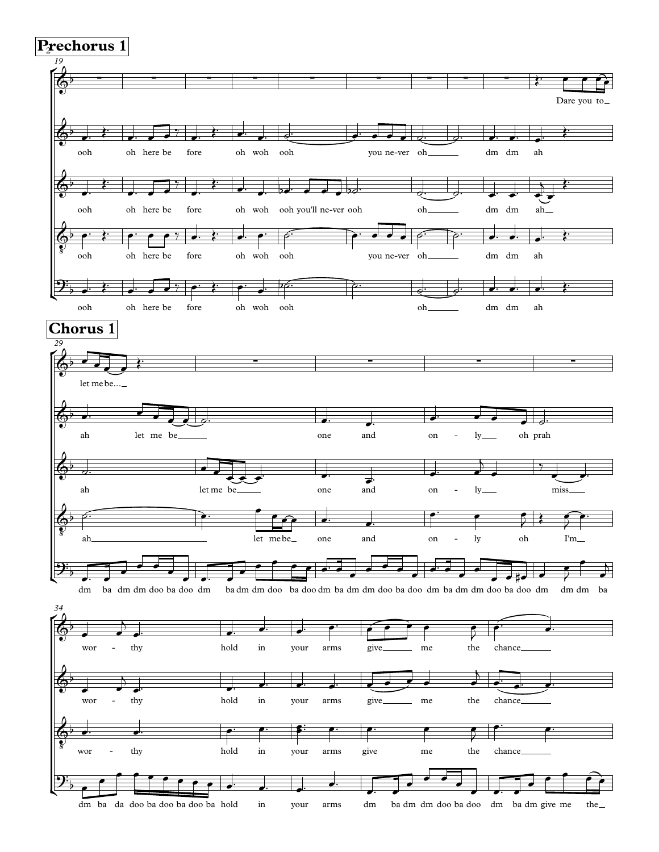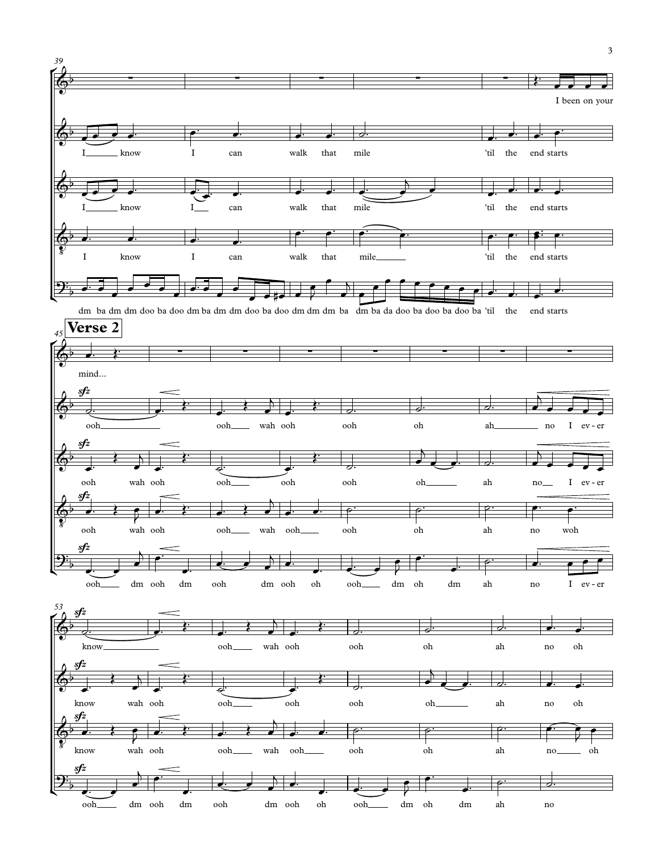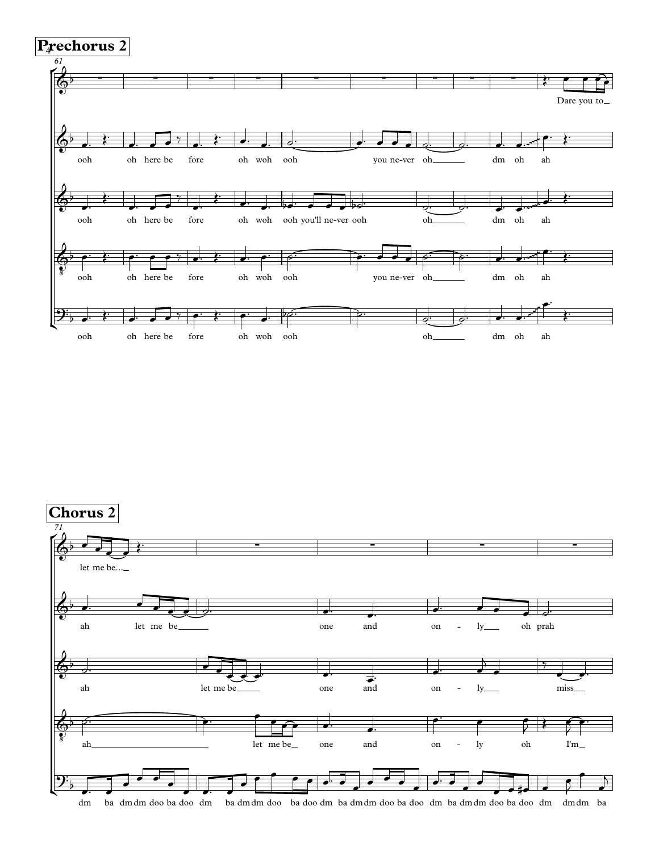

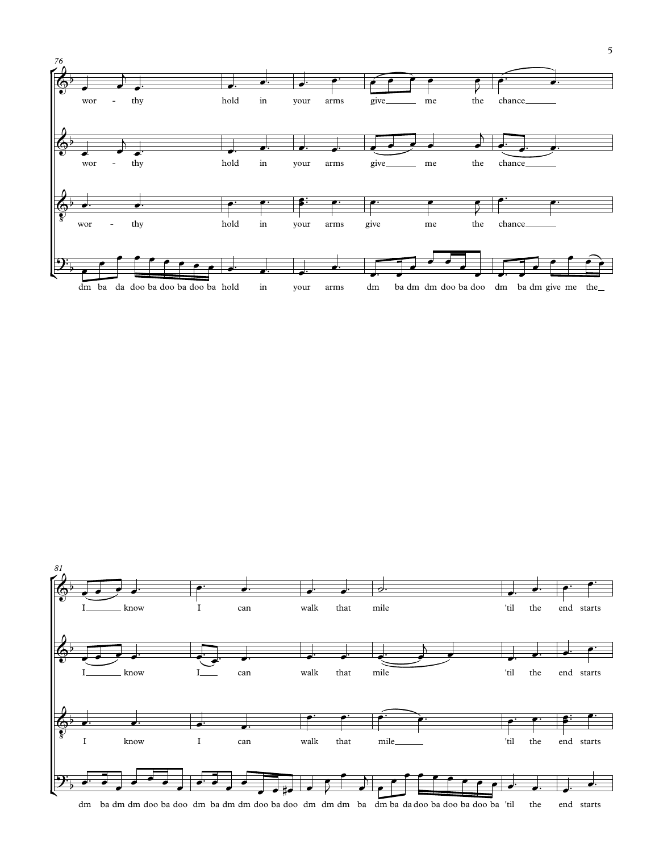

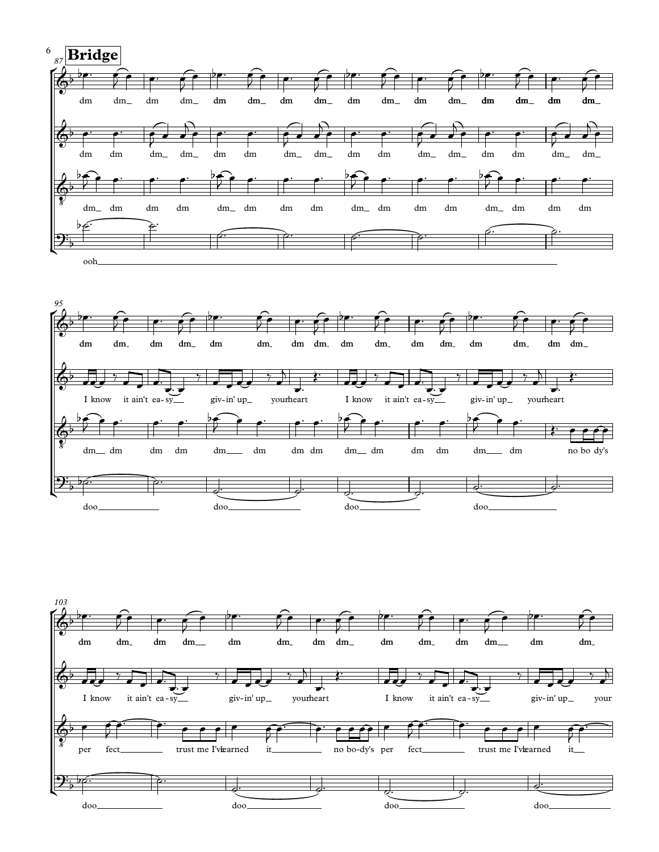



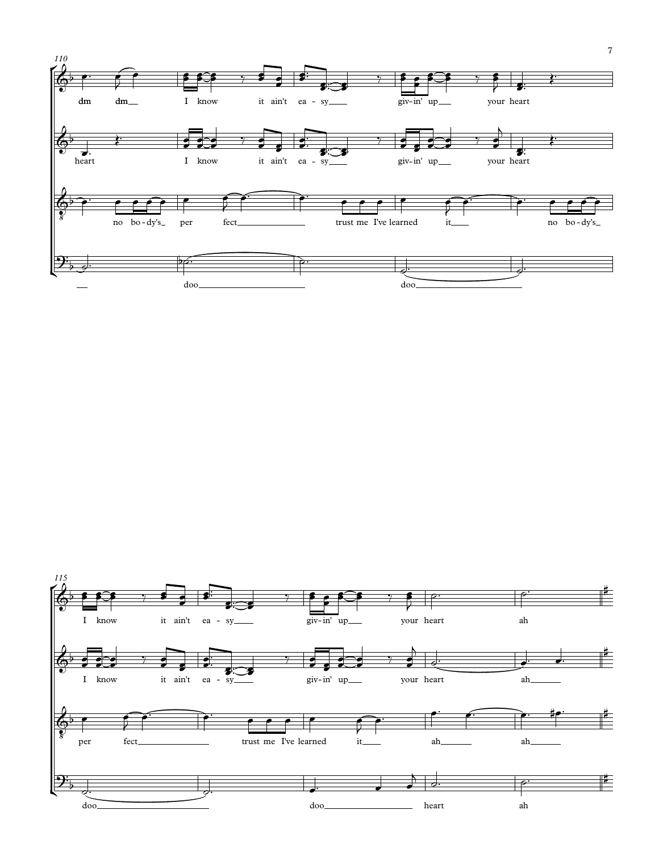

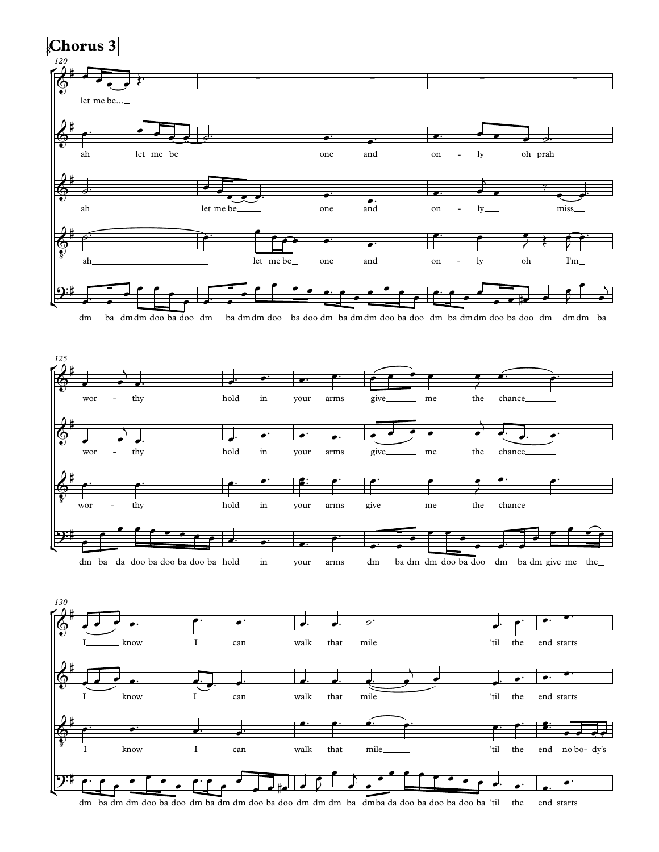

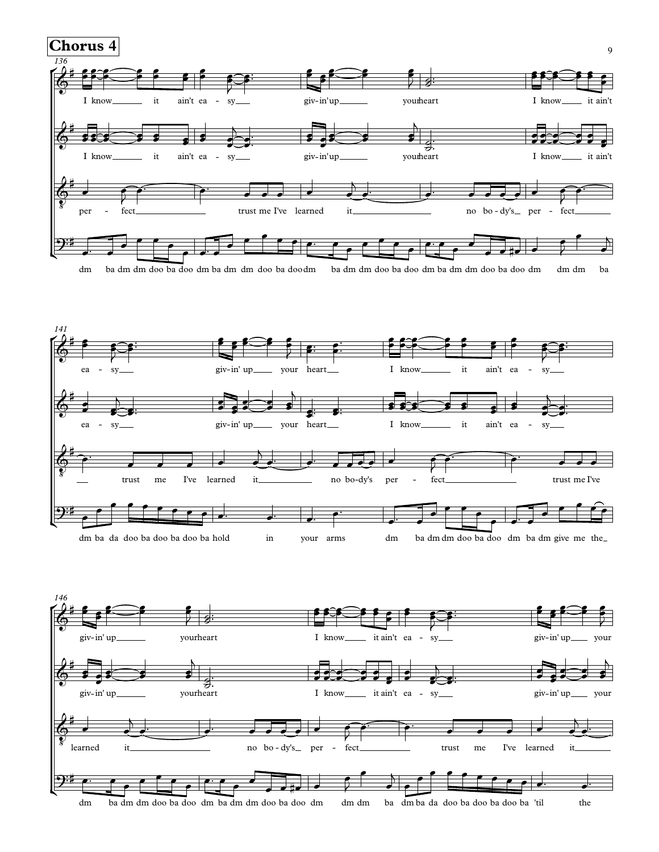